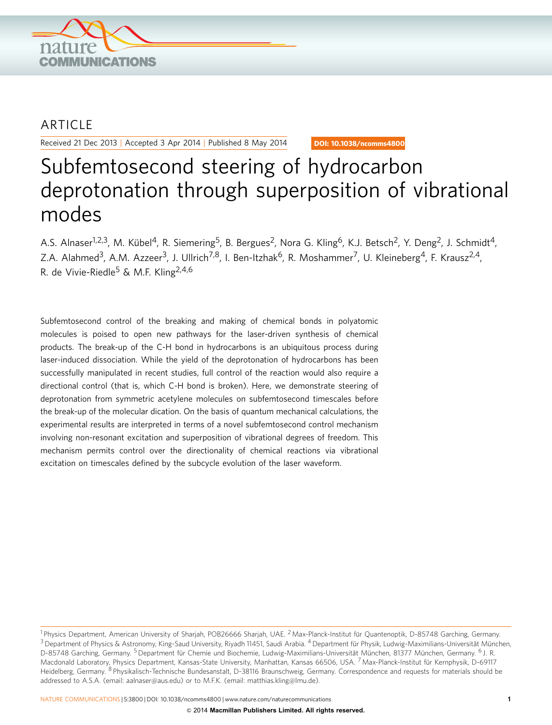

## ARTICLE

Received 21 Dec 2013 | Accepted 3 Apr 2014 | Published 8 May 2014

DOI: 10.1038/ncomms4800

# Subfemtosecond steering of hydrocarbon deprotonation through superposition of vibrational modes

A.S. Alnaser<sup>1,2,3</sup>, M. Kübel<sup>4</sup>, R. Siemering<sup>5</sup>, B. Bergues<sup>2</sup>, Nora G. Kling<sup>6</sup>, K.J. Betsch<sup>2</sup>, Y. Deng<sup>2</sup>, J. Schmidt<sup>4</sup>, Z.A. Alahmed<sup>3</sup>, A.M. Azzeer<sup>3</sup>, J. Ullrich<sup>7,8</sup>, I. Ben-Itzhak<sup>6</sup>, R. Moshammer<sup>7</sup>, U. Kleineberg<sup>4</sup>, F. Krausz<sup>2,4</sup>, R. de Vivie-Riedle<sup>5</sup> & M.F. Kling<sup>2,4,6</sup>

Subfemtosecond control of the breaking and making of chemical bonds in polyatomic molecules is poised to open new pathways for the laser-driven synthesis of chemical products. The break-up of the C-H bond in hydrocarbons is an ubiquitous process during laser-induced dissociation. While the yield of the deprotonation of hydrocarbons has been successfully manipulated in recent studies, full control of the reaction would also require a directional control (that is, which C-H bond is broken). Here, we demonstrate steering of deprotonation from symmetric acetylene molecules on subfemtosecond timescales before the break-up of the molecular dication. On the basis of quantum mechanical calculations, the experimental results are interpreted in terms of a novel subfemtosecond control mechanism involving non-resonant excitation and superposition of vibrational degrees of freedom. This mechanism permits control over the directionality of chemical reactions via vibrational excitation on timescales defined by the subcycle evolution of the laser waveform.

NATURE COMMUNICATIONS | 5:3800 | DOI: 10.1038/ncomms4800 | [www.nature.com/naturecommunications](http://www.nature.com/naturecommunications) 1

<sup>&</sup>lt;sup>1</sup> Physics Department, American University of Sharjah, POB26666 Sharjah, UAE. <sup>2</sup> Max-Planck-Institut für Quantenoptik, D-85748 Garching, Germany.  $3$  Department of Physics & Astronomy, King-Saud University, Riyadh 11451, Saudi Arabia.  $4$  Department für Physik, Ludwig-Maximilians-Universität München, D-85748 Garching, Germany. <sup>5</sup> Department für Chemie und Biochemie, Ludwig-Maximilians-Universität München, 81377 München, Germany. <sup>6</sup> J. R. Macdonald Laboratory, Physics Department, Kansas-State University, Manhattan, Kansas 66506, USA. <sup>7</sup> Max-Planck-Institut für Kernphysik, D-69117 Heidelberg, Germany. <sup>8</sup> Physikalisch-Technische Bundesanstalt, D-38116 Braunschweig, Germany. Correspondence and requests for materials should be addressed to A.S.A. (email: [aalnaser@aus.edu\)](mailto:aalnaser@aus.edu) or to M.F.K. (email: [matthias.kling@lmu.de](mailto:matthias.kling@lmu.de)).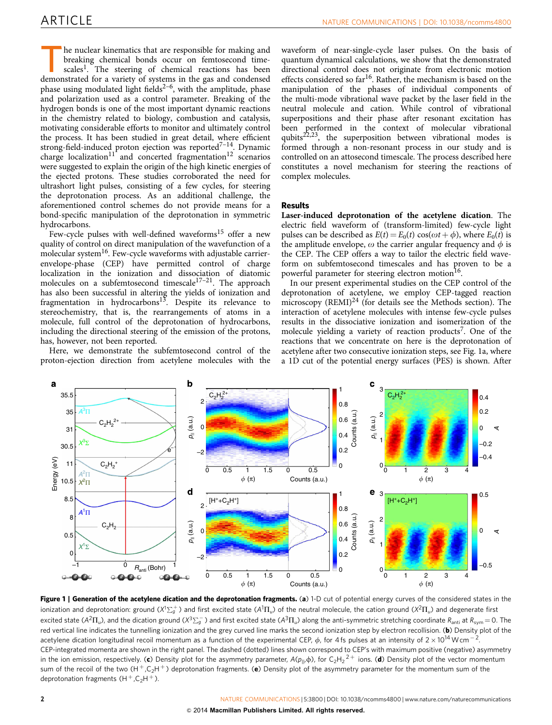<span id="page-1-0"></span>The nuclear kinematics that are responsible for making and<br>breaking chemical bonds occur on femtosecond time-<br>scales<sup>1</sup>. The steering of chemical reactions has been<br>demonstrated for a variety of systems in the gas and cond breaking chemical bonds occur on femtosecond timescales<sup>1</sup>. The steering of chemical reactions has been demonstrated for a variety of systems in the gas and condensed phase using modulated light fields<sup> $2-6$ </sup>, with the amplitude, phase and polarization used as a control parameter. Breaking of the hydrogen bonds is one of the most important dynamic reactions in the chemistry related to biology, combustion and catalysis, motivating considerable efforts to monitor and ultimately control the process. It has been studied in great detail, where efficient strong-field-induced proton ejection was reported<sup>7-14</sup>. Dynamic charge localization<sup>[11](#page-5-0)</sup> and concerted fragmentation<sup>12</sup> scenarios were suggested to explain the origin of the high kinetic energies of the ejected protons. These studies corroborated the need for ultrashort light pulses, consisting of a few cycles, for steering the deprotonation process. As an additional challenge, the aforementioned control schemes do not provide means for a bond-specific manipulation of the deprotonation in symmetric hydrocarbons.

Few-cycle pulses with well-defined waveforms<sup>15</sup> offer a new quality of control on direct manipulation of the wavefunction of a molecular system<sup>16</sup>. Few-cycle waveforms with adjustable carrierenvelope-phase (CEP) have permitted control of charge localization in the ionization and dissociation of diatomic molecules on a subfemtosecond timescale $17-21$ . The approach has also been successful in altering the yields of ionization and fragmentation in hydrocarbons<sup>[13](#page-5-0)</sup>. Despite its relevance to stereochemistry, that is, the rearrangements of atoms in a molecule, full control of the deprotonation of hydrocarbons, including the directional steering of the emission of the protons, has, however, not been reported.

Here, we demonstrate the subfemtosecond control of the proton-ejection direction from acetylene molecules with the

waveform of near-single-cycle laser pulses. On the basis of quantum dynamical calculations, we show that the demonstrated directional control does not originate from electronic motion effects considered so  $far^{16}$  $far^{16}$  $far^{16}$ . Rather, the mechanism is based on the manipulation of the phases of individual components of the multi-mode vibrational wave packet by the laser field in the neutral molecule and cation. While control of vibrational superpositions and their phase after resonant excitation has been performed in the context of molecular vibrational qubits<sup>[22,23](#page-5-0)</sup>, the superposition between vibrational modes is formed through a non-resonant process in our study and is controlled on an attosecond timescale. The process described here constitutes a novel mechanism for steering the reactions of complex molecules.

### Results

Laser-induced deprotonation of the acetylene dication. The electric field waveform of (transform-limited) few-cycle light pulses can be described as  $E(t) = E_0(t) \cos(\omega t + \phi)$ , where  $E_0(t)$  is the amplitude envelope,  $\omega$  the carrier angular frequency and  $\phi$  is the CEP. The CEP offers a way to tailor the electric field waveform on subfemtosecond timescales and has proven to be a powerful parameter for steering electron motion<sup>[16](#page-5-0)</sup>.

In our present experimental studies on the CEP control of the deprotonation of acetylene, we employ CEP-tagged reaction microscopy  $(REMI)^{24}$  $(REMI)^{24}$  $(REMI)^{24}$  (for details see the Methods section). The interaction of acetylene molecules with intense few-cycle pulses results in the dissociative ionization and isomerization of the molecule yielding a variety of reaction products<sup>[7](#page-5-0)</sup>. One of the reactions that we concentrate on here is the deprotonation of acetylene after two consecutive ionization steps, see Fig. 1a, where a 1D cut of the potential energy surfaces (PES) is shown. After



Figure 1 | Generation of the acetylene dication and the deprotonation fragments. (a) 1-D cut of potential energy curves of the considered states in the ionization and deprotonation: ground (X<sup>1</sup> $\Sigma_g^+$ ) and first excited state (A<sup>1</sup> $\Pi_u$ ) of the neutral molecule, the cation ground (X<sup>2</sup> $\Pi_u$ ) and degenerate first excited state (A $^2\Pi_u$ ), and the dication ground (X $^3\Sigma_g^-$  ) and first excited state (A $^3\Pi_u$ ) along the anti-symmetric stretching coordinate  $R_{\rm anti}$  at  $R_{\rm sym}$   $=$  0. The red vertical line indicates the tunnelling ionization and the grey curved line marks the second ionization step by electron recollision. (b) Density plot of the acetylene dication longitudinal recoil momentum as a function of the experimental CEP,  $\phi$ , for 4 fs pulses at an intensity of 2  $\times$  10<sup>14</sup> W cm<sup>-2</sup>. CEP-integrated momenta are shown in the right panel. The dashed (dotted) lines shown correspond to CEP's with maximum positive (negative) asymmetry in the ion emission, respectively. (c) Density plot for the asymmetry parameter, A( $\rho_{\parallel}, \varphi$ ), for C<sub>2</sub>H<sub>2</sub><sup>2+</sup> ions. (**d**) Density plot of the vector momentum sum of the recoil of the two  $(H^{+}, C_2 H^{+})$  deprotonation fragments. (e) Density plot of the asymmetry parameter for the momentum sum of the deprotonation fragments  $(H<sup>+</sup>, C<sub>2</sub>H<sup>+</sup>)$ .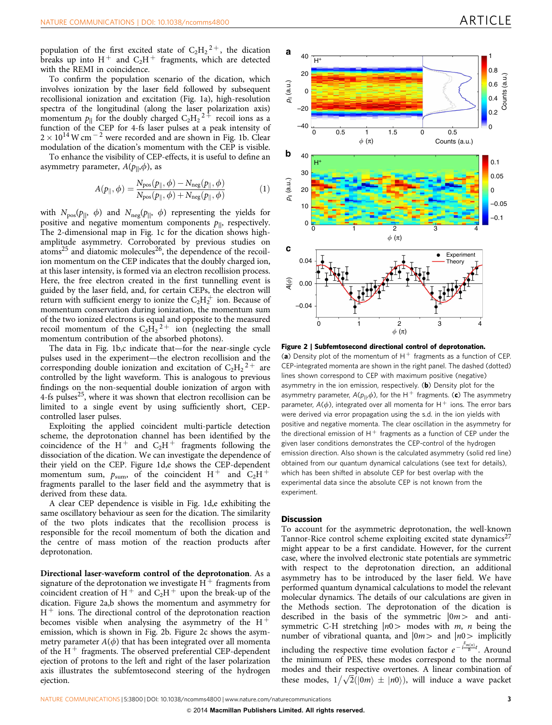<span id="page-2-0"></span>population of the first excited state of  $C_2H_2^2$ , the dication breaks up into  $H^+$  and  $C_2H^+$  fragments, which are detected with the REMI in coincidence.

To confirm the population scenario of the dication, which involves ionization by the laser field followed by subsequent recollisional ionization and excitation ([Fig. 1a](#page-1-0)), high-resolution spectra of the longitudinal (along the laser polarization axis) momentum  $p_{\parallel}$  for the doubly charged  $C_2H_2^2$  recoil ions as a function of the CEP for 4-fs laser pulses at a peak intensity of  $2 \times 10^{14}$  W cm  $^{-2}$  were recorded and are shown in [Fig. 1b.](#page-1-0) Clear modulation of the dication's momentum with the CEP is visible.

To enhance the visibility of CEP-effects, it is useful to define an asymmetry parameter,  $A(p_{||}, \phi)$ , as

$$
A(p_{\parallel}, \phi) = \frac{N_{\text{pos}}(p_{\parallel}, \phi) - N_{\text{neg}}(p_{\parallel}, \phi)}{N_{\text{pos}}(p_{\parallel}, \phi) + N_{\text{neg}}(p_{\parallel}, \phi)}
$$
(1)

with  $N_{\text{pos}}(p_{\parallel}, \phi)$  and  $N_{\text{neg}}(p_{\parallel}, \phi)$  representing the yields for positive and negative momentum components  $p_{\parallel}$ , respectively. The 2-dimensional map in [Fig. 1c](#page-1-0) for the dication shows highamplitude asymmetry. Corroborated by previous studies on  $atoms<sup>25</sup>$  and diatomic molecules<sup>26</sup>, the dependence of the recoilion momentum on the CEP indicates that the doubly charged ion, at this laser intensity, is formed via an electron recollision process. Here, the free electron created in the first tunnelling event is guided by the laser field, and, for certain CEPs, the electron will return with sufficient energy to ionize the  $C_2H_2^+$  ion. Because of momentum conservation during ionization, the momentum sum of the two ionized electrons is equal and opposite to the measured recoil momentum of the  $C_2\dot{H_2}^2$  ion (neglecting the small momentum contribution of the absorbed photons).

The data in [Fig. 1b,c](#page-1-0) indicate that—for the near-single cycle pulses used in the experiment—the electron recollision and the corresponding double ionization and excitation of  $C_2H_2^2$  are controlled by the light waveform. This is analogous to previous findings on the non-sequential double ionization of argon with 4-fs pulses<sup>25</sup>, where it was shown that electron recollision can be limited to a single event by using sufficiently short, CEPcontrolled laser pulses.

Exploiting the applied coincident multi-particle detection scheme, the deprotonation channel has been identified by the coincidence of the H<sup>+</sup> and  $C_2H^+$  fragments following the dissociation of the dication. We can investigate the dependence of their yield on the CEP. [Figure 1d,e](#page-1-0) shows the CEP-dependent momentum sum,  $p_{\text{sum}}$ , of the coincident H<sup>+</sup> and C<sub>2</sub>H<sup>+</sup> fragments parallel to the laser field and the asymmetry that is derived from these data.

A clear CEP dependence is visible in [Fig. 1d,e](#page-1-0) exhibiting the same oscillatory behaviour as seen for the dication. The similarity of the two plots indicates that the recollision process is responsible for the recoil momentum of both the dication and the centre of mass motion of the reaction products after deprotonation.

Directional laser-waveform control of the deprotonation. As a signature of the deprotonation we investigate  $H^+$  fragments from coincident creation of  $H^+$  and  $C_2H^+$  upon the break-up of the dication. Figure 2a,b shows the momentum and asymmetry for  $H<sup>+</sup>$  ions. The directional control of the deprotonation reaction becomes visible when analysing the asymmetry of the  $H^+$ emission, which is shown in Fig. 2b. Figure 2c shows the asymmetry parameter  $A(\phi)$  that has been integrated over all momenta of the  $H^+$  fragments. The observed preferential CEP-dependent ejection of protons to the left and right of the laser polarization axis illustrates the subfemtosecond steering of the hydrogen ejection.



Figure 2 | Subfemtosecond directional control of deprotonation.

(a) Density plot of the momentum of  $H^+$  fragments as a function of CEP. CEP-integrated momenta are shown in the right panel. The dashed (dotted) lines shown correspond to CEP with maximum positive (negative) asymmetry in the ion emission, respectively.  $(b)$  Density plot for the asymmetry parameter,  $A(p_{||}, \phi)$ , for the H<sup>+</sup> fragments. (c) The asymmetry parameter,  $A(\phi)$ , integrated over all momenta for H  $^+$  ions. The error bars were derived via error propagation using the s.d. in the ion yields with positive and negative momenta. The clear oscillation in the asymmetry for the directional emission of  $H^+$  fragments as a function of CEP under the given laser conditions demonstrates the CEP-control of the hydrogen emission direction. Also shown is the calculated asymmetry (solid red line) obtained from our quantum dynamical calculations (see text for details), which has been shifted in absolute CEP for best overlap with the experimental data since the absolute CEP is not known from the experiment.

### **Discussion**

To account for the asymmetric deprotonation, the well-known Tannor-Rice control scheme exploiting excited state dynamics $27$ might appear to be a first candidate. However, for the current case, where the involved electronic state potentials are symmetric with respect to the deprotonation direction, an additional asymmetry has to be introduced by the laser field. We have performed quantum dynamical calculations to model the relevant molecular dynamics. The details of our calculations are given in the Methods section. The deprotonation of the dication is described in the basis of the symmetric  $|0m\rangle$  and antisymmetric C-H stretching  $|n0\rangle$  modes with m, n being the number of vibrational quanta, and  $|0m\rangle$  and  $|n0\rangle$  implicitly including the respective time evolution factor  $e^{-\frac{E_{m(n)}}{\hbar}t}$ . Around the minimum of PES, these modes correspond to the normal modes and their respective overtones. A linear combination of thouse and their respective overtones. A finear combination of these modes,  $1/\sqrt{2}(|0m\rangle \pm |n0\rangle)$ , will induce a wave packet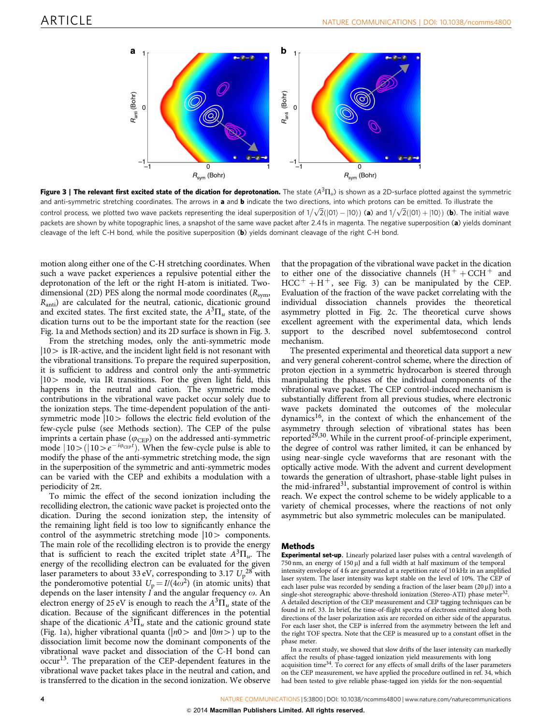<span id="page-3-0"></span>

Figure 3 | The relevant first excited state of the dication for deprotonation. The state  $(A^{3}\Pi_{\omega})$  is shown as a 2D-surface plotted against the symmetric and anti-symmetric stretching coordinates. The arrows in a and b indicate the two directions, into which protons can be emitted. To illustrate the control process, we plotted two wave packets representing the ideal superposition of  $1/\sqrt{2}(|01\rangle - |10\rangle)$  (a) and  $1/\sqrt{2}(|01\rangle + |10\rangle)$  (b). The initial wave packets are shown by white topographic lines, a snapshot of the same wave packet after 2.4 fs in magenta. The negative superposition (a) yields dominant cleavage of the left C-H bond, while the positive superposition (b) yields dominant cleavage of the right C-H bond.

motion along either one of the C-H stretching coordinates. When such a wave packet experiences a repulsive potential either the deprotonation of the left or the right H-atom is initiated. Twodimensional (2D) PES along the normal mode coordinates ( $R_{sym}$ ,  $R<sub>anti</sub>$ ) are calculated for the neutral, cationic, dicationic ground and excited states. The first excited state, the  $A^{3}\Pi_{u}$  state, of the dication turns out to be the important state for the reaction (see [Fig. 1a](#page-1-0) and Methods section) and its 2D surface is shown in Fig. 3.

From the stretching modes, only the anti-symmetric mode  $|10\rangle$  is IR-active, and the incident light field is not resonant with the vibrational transitions. To prepare the required superposition, it is sufficient to address and control only the anti-symmetric  $|10\rangle$  mode, via IR transitions. For the given light field, this happens in the neutral and cation. The symmetric mode contributions in the vibrational wave packet occur solely due to the ionization steps. The time-dependent population of the antisymmetric mode  $|10\rangle$  follows the electric field evolution of the few-cycle pulse (see Methods section). The CEP of the pulse imprints a certain phase ( $\varphi_{\rm CEP}$ ) on the addressed anti-symmetric mode  $|10\rangle (|10\rangle e^{-i\varphi_{CEP}t})$ . When the few-cycle pulse is able to modify the phase of the anti-symmetric stretching mode, the sign in the superposition of the symmetric and anti-symmetric modes can be varied with the CEP and exhibits a modulation with a periodicity of  $2\pi$ .

To mimic the effect of the second ionization including the recolliding electron, the cationic wave packet is projected onto the dication. During the second ionization step, the intensity of the remaining light field is too low to significantly enhance the control of the asymmetric stretching mode  $|10\rangle$  components. The main role of the recolliding electron is to provide the energy that is sufficient to reach the excited triplet state  $A^{3}\Pi_{u}$ . The energy of the recolliding electron can be evaluated for the given laser parameters to about 33 eV, corresponding to 3.17  $U_p^{28}$  $U_p^{28}$  $U_p^{28}$  with the ponderomotive potential  $U_p = I/(4\omega^2)$  (in atomic units) that depends on the laser intensity  $\vec{I}$  and the angular frequency  $\omega$ . An electron energy of 25 eV is enough to reach the  $A^{3}\Pi_{u}$  state of the dication. Because of the significant differences in the potential shape of the dicationic  $A^3\Pi_u$  state and the cationic ground state ([Fig. 1a](#page-1-0)), higher vibrational quanta ( $|n0>$  and  $|0m>$ ) up to the dissociation limit become now the dominant components of the vibrational wave packet and dissociation of the C-H bond can occur[13.](#page-5-0) The preparation of the CEP-dependent features in the vibrational wave packet takes place in the neutral and cation, and is transferred to the dication in the second ionization. We observe

that the propagation of the vibrational wave packet in the dication to either one of the dissociative channels  $(H<sup>+</sup> + CCH<sup>+</sup>$  and  $HCC^{+} + H^{+}$ , see Fig. 3) can be manipulated by the CEP. Evaluation of the fraction of the wave packet correlating with the individual dissociation channels provides the theoretical asymmetry plotted in [Fig. 2c.](#page-2-0) The theoretical curve shows excellent agreement with the experimental data, which lends support to the described novel subfemtosecond control mechanism.

The presented experimental and theoretical data support a new and very general coherent-control scheme, where the direction of proton ejection in a symmetric hydrocarbon is steered through manipulating the phases of the individual components of the vibrational wave packet. The CEP control-induced mechanism is substantially different from all previous studies, where electronic wave packets dominated the outcomes of the molecular dynamics[16,](#page-5-0) in the context of which the enhancement of the asymmetry through selection of vibrational states has been reported<sup>[29,30](#page-5-0)</sup>. While in the current proof-of-principle experiment, the degree of control was rather limited, it can be enhanced by using near-single cycle waveforms that are resonant with the optically active mode. With the advent and current development towards the generation of ultrashort, phase-stable light pulses in the mid-infrared<sup>[31](#page-5-0)</sup>, substantial improvement of control is within reach. We expect the control scheme to be widely applicable to a variety of chemical processes, where the reactions of not only asymmetric but also symmetric molecules can be manipulated.

### Methods

Experimental set-up. Linearly polarized laser pulses with a central wavelength of  $750$  nm, an energy of  $150 \mu$ J and a full width at half maximum of the temporal intensity envelope of 4 fs are generated at a repetition rate of 10 kHz in an amplified laser system. The laser intensity was kept stable on the level of 10%. The CEP of each laser pulse was recorded by sending a fraction of the laser beam  $(20 \,\mu\text{J})$  into a single-shot stereographic above-threshold ionization (Stereo-ATI) phase meter A detailed description of the CEP measurement and CEP tagging techniques can be found in [ref. 33.](#page-5-0) In brief, the time-of-flight spectra of electrons emitted along both directions of the laser polarization axis are recorded on either side of the apparatus. For each laser shot, the CEP is inferred from the asymmetry between the left and the right TOF spectra. Note that the CEP is measured up to a constant offset in the phase meter.

In a recent study, we showed that slow drifts of the laser intensity can markedly affect the results of phase-tagged ionization yield measurements with long acquisition time<sup>34</sup>. To correct for any effects of small drifts of the laser parameters on the CEP measurement, we have applied the procedure outlined in [ref. 34](#page-5-0), which had been tested to give reliable phase-tagged ion yields for the non-sequential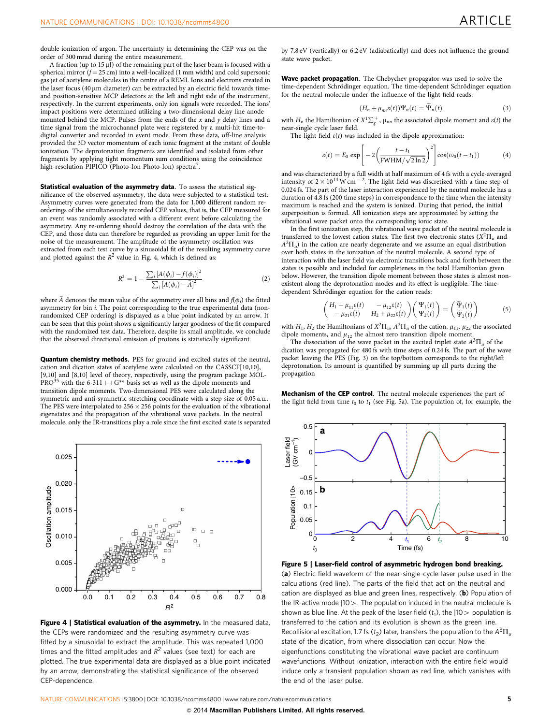<span id="page-4-0"></span>double ionization of argon. The uncertainty in determining the CEP was on the order of 300 mrad during the entire measurement.

A fraction (up to  $15 \mu$ J) of the remaining part of the laser beam is focused with a spherical mirror  $(f = 25 \text{ cm})$  into a well-localized (1 mm width) and cold supersonic gas jet of acetylene molecules in the centre of a REMI. Ions and electrons created in the laser focus (40  $\mu$ m diameter) can be extracted by an electric field towards timeand position-sensitive MCP detectors at the left and right side of the instrument, respectively. In the current experiments, only ion signals were recorded. The ions' impact positions were determined utilizing a two-dimensional delay line anode mounted behind the MCP. Pulses from the ends of the  $x$  and  $y$  delay lines and a time signal from the microchannel plate were registered by a multi-hit time-todigital converter and recorded in event mode. From these data, off-line analysis provided the 3D vector momentum of each ionic fragment at the instant of double ionization. The deprotonation fragments are identified and isolated from other fragments by applying tight momentum sum conditions using the coincidence high-resolution PIPICO (Photo-Ion Photo-Ion) spectra<sup>[7](#page-5-0)</sup>.

Statistical evaluation of the asymmetry data. To assess the statistical significance of the observed asymmetry, the data were subjected to a statistical test. Asymmetry curves were generated from the data for 1,000 different random reorderings of the simultaneously recorded CEP values, that is, the CEP measured for an event was randomly associated with a different event before calculating the asymmetry. Any re-ordering should destroy the correlation of the data with the CEP, and those data can therefore be regarded as providing an upper limit for the noise of the measurement. The amplitude of the asymmetry oscillation was extracted from each test curve by a sinusoidal fit of the resulting asymmetry curve and plotted against the  $R^2$  value in Fig. 4, which is defined as:

$$
R^{2} = 1 - \frac{\sum_{i} [A(\phi_{i}) - f(\phi_{i})]^{2}}{\sum_{i} [A(\phi_{i}) - \bar{A}]^{2}}
$$
(2)

where  $\bar{A}$  denotes the mean value of the asymmetry over all bins and  $f(\phi_i)$  the fitted asymmetry for bin *i*. The point corresponding to the true experimental data (nonrandomized CEP ordering) is displayed as a blue point indicated by an arrow. It can be seen that this point shows a significantly larger goodness of the fit compared with the randomized test data. Therefore, despite its small amplitude, we conclude that the observed directional emission of protons is statistically significant.

Quantum chemistry methods. PES for ground and excited states of the neutral, cation and dication states of acetylene were calculated on the CASSCF[10,10], [9,10] and [8,10] level of theory, respectively, using the program package MOL-PRO<sup>[35](#page-5-0)</sup> with the 6-311++G\*\* basis set as well as the dipole moments and transition dipole moments. Two-dimensional PES were calculated along the symmetric and anti-symmetric stretching coordinate with a step size of 0.05 a.u.. The PES were interpolated to  $256 \times 256$  points for the evaluation of the vibrational eigenstates and the propagation of the vibrational wave packets. In the neutral molecule, only the IR-transitions play a role since the first excited state is separated



Figure 4 | Statistical evaluation of the asymmetry. In the measured data, the CEPs were randomized and the resulting asymmetry curve was fitted by a sinusoidal to extract the amplitude. This was repeated 1,000 times and the fitted amplitudes and  $R^2$  values (see text) for each are plotted. The true experimental data are displayed as a blue point indicated by an arrow, demonstrating the statistical significance of the observed CEP-dependence.

by 7.8 eV (vertically) or 6.2 eV (adiabatically) and does not influence the ground state wave packet.

Wave packet propagation. The Chebychev propagator was used to solve the time-dependent Schrödinger equation. The time-dependent Schrödinger equation for the neutral molecule under the influence of the light field reads:

$$
(H_n + \mu_{nn}\varepsilon(t))\Psi_n(t) = \Psi_n(t)
$$
\n(3)

with  $H_n$  the Hamiltonian of  $X^1 \Sigma_g^+$ ,  $\mu_{nn}$  the associated dipole moment and  $\varepsilon(t)$  the near-single cycle laser field.

The light field  $\varepsilon(t)$  was included in the dipole approximation:

$$
\varepsilon(t) = E_0 \exp\left[-2\left(\frac{t - t_1}{\text{FWHM}/\sqrt{2\ln 2}}\right)^2\right] \cos(\omega_0(t - t_1))\tag{4}
$$

and was characterized by a full width at half maximum of 4 fs with a cycle-averaged intensity of  $2 \times 10^{14}$  W cm<sup>-2</sup>. The light field was discretized with a time step of 0.024 fs. The part of the laser interaction experienced by the neutral molecule has a duration of 4.8 fs (200 time steps) in correspondence to the time when the intensity maximum is reached and the system is ionized. During that period, the initial superposition is formed. All ionization steps are approximated by setting the vibrational wave packet onto the corresponding ionic state.

In the first ionization step, the vibrational wave packet of the neutral molecule is transferred to the lowest cation states. The first two electronic states  $(X^2\Pi_u$  and  $A^2\Pi_u$ ) in the cation are nearly degenerate and we assume an equal distribution over both states in the ionization of the neutral molecule. A second type of interaction with the laser field via electronic transitions back and forth between the states is possible and included for completeness in the total Hamiltonian given below. However, the transition dipole moment between those states is almost nonexistent along the deprotonation modes and its effect is negligible. The timedependent Schrödinger equation for the cation reads:

$$
\begin{pmatrix} H_1 + \mu_{11}\varepsilon(t) & -\mu_{12}\varepsilon(t) \\ -\mu_{21}\varepsilon(t) & H_2 + \mu_{22}\varepsilon(t) \end{pmatrix} \begin{pmatrix} \Psi_1(t) \\ \Psi_2(t) \end{pmatrix} = \begin{pmatrix} \widetilde{\Psi}_1(t) \\ \widetilde{\Psi}_2(t) \end{pmatrix}
$$
(5)

with  $H_1$ ,  $H_2$  the Hamiltonians of  $X^2\Pi_w$ ,  $A^2\Pi_u$  of the cation,  $\mu_{11}$ ,  $\mu_{22}$  the associated dipole moments, and  $\mu_{12}$  the almost zero transition dipole moment.

The dissociation of the wave packet in the excited triplet state  $A^3\Pi_u$  of the dication was propagated for 480 fs with time steps of 0.24 fs. The part of the wave packet leaving the PES ([Fig. 3\)](#page-3-0) on the top/bottom corresponds to the right/left deprotonation. Its amount is quantified by summing up all parts during the propagation

Mechanism of the CEP control. The neutral molecule experiences the part of the light field from time  $t_0$  to  $t_1$  (see Fig. 5a). The population of, for example, the



Figure 5 | Laser-field control of asymmetric hydrogen bond breaking.

(a) Electric field waveform of the near-single-cycle laser pulse used in the calculations (red line). The parts of the field that act on the neutral and cation are displayed as blue and green lines, respectively. (b) Population of the IR-active mode  $|10\rangle$ . The population induced in the neutral molecule is shown as blue line. At the peak of the laser field  $(t_1)$ , the  $|10\rangle$  population is transferred to the cation and its evolution is shown as the green line. Recollisional excitation, 1.7 fs ( $t_2$ ) later, transfers the population to the  $A^3\Pi_u$ state of the dication, from where dissociation can occur. Now the eigenfunctions constituting the vibrational wave packet are continuum wavefunctions. Without ionization, interaction with the entire field would induce only a transient population shown as red line, which vanishes with the end of the laser pulse.